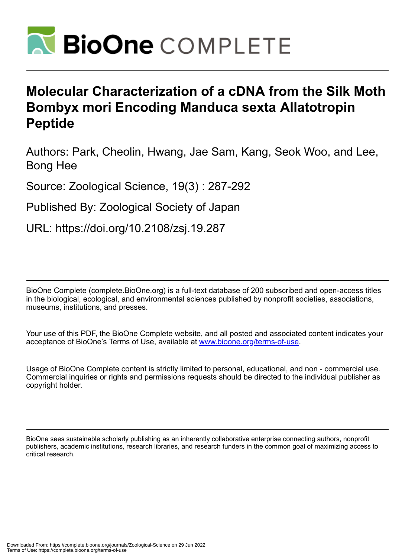

# **Molecular Characterization of a cDNA from the Silk Moth Bombyx mori Encoding Manduca sexta Allatotropin Peptide**

Authors: Park, Cheolin, Hwang, Jae Sam, Kang, Seok Woo, and Lee, Bong Hee

Source: Zoological Science, 19(3) : 287-292

Published By: Zoological Society of Japan

URL: https://doi.org/10.2108/zsj.19.287

BioOne Complete (complete.BioOne.org) is a full-text database of 200 subscribed and open-access titles in the biological, ecological, and environmental sciences published by nonprofit societies, associations, museums, institutions, and presses.

Your use of this PDF, the BioOne Complete website, and all posted and associated content indicates your acceptance of BioOne's Terms of Use, available at www.bioone.org/terms-of-use.

Usage of BioOne Complete content is strictly limited to personal, educational, and non - commercial use. Commercial inquiries or rights and permissions requests should be directed to the individual publisher as copyright holder.

BioOne sees sustainable scholarly publishing as an inherently collaborative enterprise connecting authors, nonprofit publishers, academic institutions, research libraries, and research funders in the common goal of maximizing access to critical research.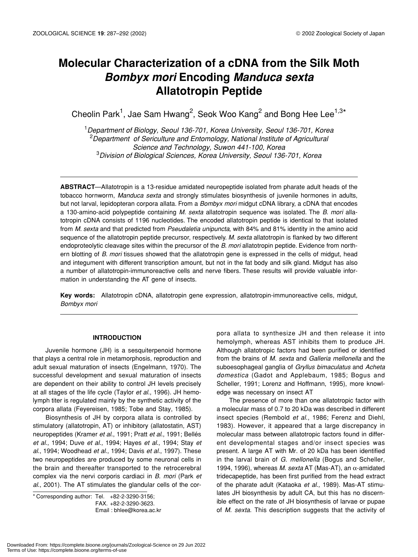# **Molecular Characterization of a cDNA from the Silk Moth** *Bombyx mori* **Encoding** *Manduca sexta* **Allatotropin Peptide**

Cheolin Park<sup>1</sup>, Jae Sam Hwang<sup>2</sup>, Seok Woo Kang<sup>2</sup> and Bong Hee Lee<sup>1,3\*</sup>

1 *Department of Biology, Seoul 136-701, Korea University, Seoul 136-701, Korea* <sup>2</sup> Department of Sericulture and Entomology, National Institute of Agricultural *Science and Technology, Suwon 441-100, Korea* 3 *Division of Biological Sciences, Korea University, Seoul 136-701, Korea*

**ABSTRACT**—Allatotropin is a 13-residue amidated neuropeptide isolated from pharate adult heads of the tobacco hornworm, *Manduca sexta* and strongly stimulates biosynthesis of juvenile hormones in adults, but not larval, lepidopteran corpora allata. From a *Bombyx mori* midgut cDNA library, a cDNA that encodes a 130-amino-acid polypeptide containing *M. sexta* allatotropin sequence was isolated. The *B. mori* allatotropin cDNA consists of 1196 nucleotides. The encoded allatotropin peptide is identical to that isolated from *M. sexta* and that predicted from *Pseudaletia unipuncta*, with 84% and 81% identity in the amino acid sequence of the allatotropin peptide precursor, respectively. *M. sexta* allatotropin is flanked by two different endoproteolytic cleavage sites within the precursor of the *B. mori* allatotropin peptide. Evidence from northern blotting of *B. mori* tissues showed that the allatotropin gene is expressed in the cells of midgut, head and integument with different transcription amount, but not in the fat body and silk gland. Midgut has also a number of allatotropin-immunoreactive cells and nerve fibers. These results will provide valuable information in understanding the AT gene of insects.

**Key words:** Allatotropin cDNA, allatotropin gene expression, allatotropin-immunoreactive cells, midgut*, Bombyx mori* 

# **INTRODUCTION**

Juvenile hormone (JH) is a sesquiterpenoid hormone that plays a central role in metamorphosis, reproduction and adult sexual maturation of insects (Engelmann, 1970). The successful development and sexual maturation of insects are dependent on their ability to control JH levels precisely at all stages of the life cycle (Taylor *et al*., 1996). JH hemolymph titer is regulated mainly by the synthetic activity of the corpora allata (Feyereisen, 1985; Tobe and Stay, 1985).

Biosynthesis of JH by corpora allata is controlled by stimulatory (allatotropin, AT) or inhibitory (allatostatin, AST) neuropeptides (Kramer *et al*., 1991; Pratt *et al*., 1991; Bellés *et al*., 1994; Duve *et al*., 1994; Hayes *et al*., 1994; Stay *et al*., 1994; Woodhead *et al*., 1994; Davis *et al*., 1997). These two neuropeptides are produced by some neuronal cells in the brain and thereafter transported to the retrocerebral complex via the nervi corporis cardiaci in *B. mori* (Park *et al*., 2001). The AT stimulates the glandular cells of the cor-

\* Corresponding author: Tel. +82-2-3290-3156; FAX. +82-2-3290-3623. Email : bhlee@korea.ac.kr pora allata to synthesize JH and then release it into hemolymph, whereas AST inhibits them to produce JH. Although allatotropic factors had been purified or identified from the brains of *M. sexta* and *Galleria mellonella* and the suboesophageal ganglia of *Gryllus bimaculatus* and *Acheta domestica* (Gadot and Applebaum, 1985; Bogus and Scheller, 1991; Lorenz and Hoffmann, 1995), more knowledge was necessary on insect AT

The presence of more than one allatotropic factor with a molecular mass of 0.7 to 20 kDa was described in different insect species (Rembold *et al*., 1986; Ferenz and Diehl, 1983). However, it appeared that a large discrepancy in molecular mass between allatotropic factors found in different developmental stages and/or insect species was present. A large AT with Mr. of 20 kDa has been identified in the larval brain of *G. mellonella* (Bogus and Scheller, 1994, 1996), whereas *M*. *sexta* AT (Mas-AT), an α-amidated tridecapeptide, has been first purified from the head extract of the pharate adult (Kataoka *et al*., 1989). Mas-AT stimulates JH biosynthesis by adult CA, but this has no discernible effect on the rate of JH biosynthesis of larvae or pupae of *M. sexta*. This description suggests that the activity of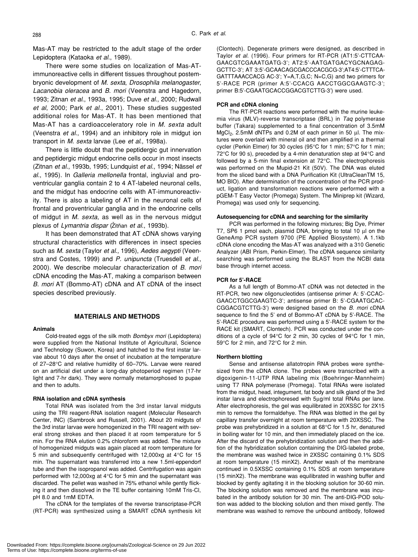Mas-AT may be restricted to the adult stage of the order Lepidoptera (Kataoka *et al*., 1989).

There were some studies on localization of Mas-ATimmunoreactive cells in different tissues throughout postembryonic development of *M. sexta*, *Drosophila melanogaster*, *Lacanobia oleracea* and *B. mori* (Veenstra and Hagedorn, 1993; Zitnan *et al*., 1993a, 1995; Duve *et al*., 2000; Rudwall *et al*, 2000; Park *et al*., 2001). These studies suggested additional roles for Mas-AT. It has been mentioned that Mas-AT has a cardioacceleratory role in *M. sexta* adult (Veenstra *et al*., 1994) and an inhibitory role in midgut ion transport in *M. sexta* larvae (Lee *et al*., 1998a).

There is little doubt that the peptidergic gut innervation and peptidergic midgut endocrine cells occur in most insects (Zitnan *et al*., 1993b, 1995; Lundquist *et al*., 1994; Nässel *et al*., 1995). In *Galleria mellonella* frontal, ingluvial and proventricular ganglia contain 2 to 4 AT-labeled neuronal cells, and the midgut has endocrine cells with AT-immunoreactivity. There is also a labeling of AT in the neuronal cells of frontal and proventricular ganglia and in the endocrine cells of midgut in *M. sexta*, as well as in the nervous midgut plexus of *Lymantria dispar* (Žitñan et al., 1993b).

It has been demonstrated that AT cDNA shows varying structural characteristics with differences in insect species such as *M. sexta* (Taylor *et al*., 1996), *Aedes aegypti* (Veenstra and Costes, 1999) and *P. unipuncta* (Truesdell *et al*., 2000). We describe molecular characterization of *B. mori* cDNA encoding the Mas-AT, making a comparison between *B. mori* AT (Bommo-AT) cDNA and AT cDNA of the insect species described previously.

#### **MATERIALS AND METHODS**

# **Animals**

Cold-treated eggs of the silk moth *Bombyx mori* (Lepidoptera) were supplied from the National Institute of Agricultural, Science and Technology (Suwon, Korea) and hatched to the first instar larvae about 10 days after the onset of incubation at the temperature of 27–28°C and relative humidity of 60–70%. Larvae were reared on an artificial diet under a long-day photoperiod regimen (17-hr light and 7-hr dark). They were normally metamorphosed to pupae and then to adults.

#### **RNA isolation and cDNA synthesis**

Total RNA was isolated from the 3rd instar larval midguts using the TRI reagent-RNA isolation reagent (Molecular Research Center, INC) (Sambrook and Russell, 2001). About 20 midguts of the 3rd instar larvae were homogenized in the TRI reagent with several strong strokes and then placed it at room temperature for 5 min. For the RNA elution 0.2% chloroform was added. The mixture of homogenized midguts was again placed at room temperature for 5 min and subsequently centrifuged with 12,000xg at 4°C for 15 min. The supernatant was transferred into a new 1.5ml-eppendorf tube and then the isopropanol was added. Centrifugation was again performed with 12,000xg at 4°C for 5 min and the supernatant was discarded. The pellet was washed in 75% ethanol while gently flicking it and then dissolved in the TE buffer containing 10mM Tris-Cl, pH 8.0 and 1mM EDTA.

The cDNA for the templates of the reverse transcriptase-PCR (RT-PCR) was synthesized using a SMART cDNA synthesis kit

(Clontech). Degenerate primers were designed, as described in Taylor *et al*. (1996). Four primers for RT-PCR (AT1:5'-CTTCAA-GAACGTCGAAATGATG-3'; AT2:5'-AATGATGACYGCNAGAG-GCTTC-3'; AT 3:5'-GCAACAGCGACCCACGCG-3';AT4:5'-CTTTCA-GATTTAAACCACG AC-3'; Y=A,T,G,C; N=C,G) and two primers for 5'-RACE PCR (primer A:5'-CCACG AACCTGGCGAAGTC-3'; primer B:5'-CGAATGCACCGGACGTCTTG-3') were used.

#### **PCR and cDNA cloning**

The RT-PCR reactions were performed with the murine leukemia virus (MLV)-reverse transcriptase (BRL) in *Taq* polymerase buffer (Takara) supplemented to a final concentration of 3.5mM MgCl<sub>2</sub>, 2.5mM dNTPs and 0.2M of each primer in 50 µl. The mixtures were overlaid with mineral oil and then amplified in a thermal cycler (Perkin Elmer) for 30 cycles (95°C for 1 min; 57°C for 1 min; 72°C for 90 s), preceded by a 4-min denaturation step at 94°C and followed by a 5-min final extension at 72°C. The electrophoresis was performed on the Mupid-21 Kit (50V). The DNA was eluted from the sliced band with a DNA Purification Kit (UltraCleanTM 15, MO BIO). After determination of the concentration of the PCR product, ligation and transformation reactions were performed with a pGEM-T Easy Vector (Promega) System. The Miniprep kit (Wizard, Promega) was used only for sequencing.

#### **Autosequencing for cDNA and searching for the similarity**

PCR was performed in the following mixtures; Big Dye, Primer T7, SP6 1 pmol each, plasmid DNA, bringing to total 10  $\mu$ l on the GeneAmp PCR system 9700 (PE Applied Biosystem). A 1.1kb cDNA clone encoding the Mas-AT was analyzed with a 310 Genetic Analyzer (ABI Prism, Perkin-Elmer). The cDNA sequence similarity searching was performed using the BLAST from the NCBI data base through internet access.

#### **PCR for 5'-RACE**

As a full length of Bommo-AT cDNA was not detected in the RT-PCR, two new oligonucleotides (antisense primer A: 5'-CCAC-GAACCTGGCGAAGTC-3'; antisense primer B: 5'-CGAATGCAC-CGGACGTCTTG-3') were designed based on the *B. mori* cDNA sequence to find the 5' end of Bommo-AT cDNA by 5'-RACE. The 5'-RACE procedure was performed using a 5'-RACE system for the RACE kit (SMART, Clontech). PCR was conducted under the conditions of a cycle of 94°C for 2 min, 30 cycles of 94°C for 1 min, 59°C for 2 min, and 72°C for 2 min.

#### **Northern blotting**

Sense and antisense allatotropin RNA probes were synthesized from the cDNA clone. The probes were transcribed with a digoxigenin-11-UTP RNA labeling mix (Boehringer-Mannheim) using T7 RNA polymerase (Promega). Total RNAs were isolated from the midgut, head, integument, fat body and silk gland of the 3rd instar larva and electrophoresed with 5µg/ml total RNAs per lane. After electrophoresis, the gel was equilibrated in 20XSSC for 2X15 min to remove the formaldehye. The RNA was blotted in the gel by capillary transfer overnight at room temperature with 20XSSC. The probe was prehybridized in a solution at 68°C for 1.5 hr, denatured in boiling water for 10 min, and then immediately placed on the ice. After the discard of the prehybridization solution and then the addition of the hybridization solution containing the DIG-labeled probe, the membrane was washed twice in 2XSSC containing 0.1% SDS at room temperature (15 minX2). Another wash of the membrane continued in 0.5XSSC containing 0.1% SDS at room temperature (15 minX2). The membrane was equilibrated in washing buffer and blocked by gently agitating it in the blocking solution for 30-60 min. The blocking solution was removed and the membrane was incubated in the antibody solution for 30 min. The anti-DIG-POD solution was added to the blocking solution and then mixed gently. The membrane was washed to remove the unbound antibody, followed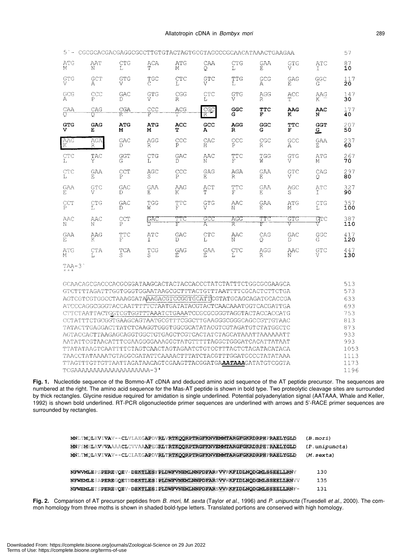| $5 -$                | CGCGCACGACGAGGCGCCTTGTGTACTAGTGCGTAGCCCGCAACATAAACTGAAGAA |                    |                      |                |            |                         |            |                           |            | 57                |
|----------------------|-----------------------------------------------------------|--------------------|----------------------|----------------|------------|-------------------------|------------|---------------------------|------------|-------------------|
| ATG                  | AAT                                                       | CTG                | ACA                  | ATG            | CAA        | <b>CTG</b>              | GAA        | GTG                       | <b>ATC</b> | 87                |
| М                    | N                                                         | T.                 | Τ                    | M              | Q          | Ŀ                       | E.         | V                         | т.         | 10                |
| GTG                  | GCT                                                       | GTG                | TGC                  | CTC            | GTC        | TTG                     | GCG        | GAG                       | GGC        | 117               |
| V                    | Α                                                         | V                  | С                    | L              | V          | L                       | А          | Е                         | G          | 20                |
| GCG                  | CCC                                                       | GAC                | GTG                  | CGG            | CTC        | GTG                     | AGG        | ACC                       | AAG        | 147               |
| $\mathbb{A}$         | P                                                         | Ð                  | V                    | R              | т,         | $\overline{V}$          | R          | Ψ                         | K          | 30                |
| CAA                  | CAG                                                       | CGA                | CCC                  | ACG            | cgc        | GGC                     | <b>TTC</b> | AAG                       | AAC        | 177               |
| ℧                    | σ                                                         | R                  | P                    | T              | R          | G                       | F          | к                         | N          | 40                |
| <b>GTG</b>           | GAG                                                       | <b>ATG</b>         | <b>ATG</b>           | ACC            | GCC        | <b>AGG</b>              | GGC        | TTC                       | <b>GGT</b> | 207               |
| v                    | Е                                                         | м                  | м                    | т              | А          | R                       | G          | F                         | 으          | 50                |
| AAG                  | AGA                                                       | GAC                | AGG                  | ccc            | CAC        | CCC                     | CGC        | GCC                       | <b>GAA</b> | ${}^{237}_{60}$   |
| $\mathbb K$          | R                                                         | Ð                  | R                    | P              | $_{\rm H}$ | Ρ                       | R          | А                         | E          |                   |
| CTC                  | TAC                                                       | GGT                | CTG                  | GAC            | AAC        | TTC                     | TGG        | GTG                       | ATG        | ${}^{267}_{70}$   |
| Ъ                    | Y                                                         | G                  | L.                   | D              | N          | $\overline{\mathbb{F}}$ | W          | ٢Ž                        | М          |                   |
| CTC<br>Τ,            | GAA<br>F.                                                 | $_{\rm{CCT}}$<br>P | AGC<br>S             | C <sub>P</sub> | GAG<br>F.  | AGA<br>R                | GAA<br>F.  | $\operatorname*{grc}_{V}$ | CAG<br>Q.  | $^{297}_{80}$     |
| GAA                  | GTC                                                       | GAC                | GAA                  | AAG            | ACT        | TTC                     | GAA        | AGC                       | ATC        | 327               |
| E                    | V                                                         | Ð                  | E                    | Κ              | T          | $\overline{W}$          | F.         | S                         | Τ          | 90                |
| $_{\rm P}^{\rm CCT}$ | CTG                                                       | GAC                | TGG                  | TTC            | GTG        | AAC                     | <b>GAA</b> | ATG                       | CTG        | 357               |
|                      | Ţ,                                                        | D                  | W                    | F              | V          | N                       | F.         | М                         | T.         | 100               |
| AAC<br>N             | AAC<br>N                                                  | CCT<br>P           | GAC                  | TTC<br>F       | GCC<br>A   | AGG<br>R                | TTC<br>F   | GTG<br>V                  | GTC        | 387<br>110        |
| GAA                  | AAG                                                       | TTC                | ATC                  | GAC            | CTC        | AAC                     | CAG        | GAC                       | GGC        | 417               |
| E.                   | Κ                                                         | F                  | T                    | D              | L          | Ν                       | O          | D                         | G          | 120               |
| ATG<br>М             | <b>CTA</b><br>L                                           | TCA<br>S           | $_{\rm S}^{\rm TCG}$ | GAG<br>Ε       | GAA<br>Ε   | <b>CTC</b><br>Т.        | AGG<br>R   | AAC<br>N                  | GTC<br>V   | $\frac{447}{130}$ |
|                      |                                                           |                    |                      |                |            |                         |            |                           |            |                   |

 $TAA-3$ 

|                                                              | 513  |
|--------------------------------------------------------------|------|
| GTCTTTTAGATTTGGTGGGTGGAATAAGCGCTTTACTGTTTAATTTTCGCACTCTTCTGA | 573  |
| AGTCGTCGTGGCCTAAAGGATAAAGACGTCCGGTGCATTCGTATGCAGCAGATGCACCGA | 633  |
| ATCCCAGGCGGGTACCAATTTTTCTAATGATATACGTACTCAACAAATGGTCACGATTGA | 693  |
|                                                              | 753  |
| CCTATTTCTGCGGTGAAGCAGTAATGCGTTTCGGCTTGAAGGGCGGCAGCCGTTGTAAC  | 813  |
| TATACTTGAGGACTTATCTCAAGGTGGGTGGCGCATATACGTCGTAGATGTCTATGCCTC | 873  |
| AGTACCACTTAAGAGCAGGTGGCTGTGAGCTCGTCACTATCTAGCATAAATTAAAAAATT | 933  |
| AATATTCGTAACATTTCGAAGGGGAAAGGCTATGTTTTAGGCTGGGATCACATTATAAT  | 993  |
|                                                              | 1053 |
| TAACCTATAAAATGTAGGCGATATTCAAAACTTTATCTACGTTTGGATGCCCTATATAAA | 1113 |
| TTAGTTTGTTGTTAATTAGATAACAGTCGAAGTTACGGATGAAATAAGATATGTCGGTA  | 1173 |
| TCGAAAAAAAAAAAAAAAAAAAAA-3'                                  | 1196 |

**Fig. 1.** Nucleotide sequence of the Bommo-AT cDNA and deduced amino acid sequence of the AT peptide precursor. The sequences are numbered at the right. The amino acid sequence for the Mas-AT peptide is shown in bold type. Two proteolytic cleavage sites are surrounded by thick rectangles. Glycine residue required for amidation is single underlined. Potential polyadenylation signal (AATAAA, Whale and Keller, 1992) is shown bold underlined. RT-PCR oligonucleotide primer sequences are underlined with arrows and 5'-RACE primer sequences are surrounded by rectangles.

| MNLTMQLEVIVAV--CLVLAEGAPDVRLVRTKQQRPTRGFKNVEMMTARGFGKRDRPHPRAELYGLD  | (B.mor1)       |
|----------------------------------------------------------------------|----------------|
| MNFSMHLAVVVAAAACLCVVAAAPEGRLTRTKQQRPTRGFKNVEMMTARGFGKRDRPHTRAELYGLD  | (P. unipuncta) |
| MNLTMOLAVIVAV--CLCLAEGAPDVRLTRTKOORPTRGFKNVEMMTARGFGKRDRPHPRAELYGLD  | $(M.$ sexta)   |
|                                                                      |                |
| NEWVMLEPSPEREVOEV-DEKTLESFFLDWFVNEMLNNPDFARFVVRKFIDLNODGMLSSEELLRNV  | 130            |
| NEWEMLESAPEREGOETNDEKTLESIPLDWFVNEMLNNPDFARSVVHKFIDLNODGMLSSEELLRNVV | 135            |
| NFWEMLETSPEREVOEV-DEKTLESIPLDWFVNEMLNNPDFARSVVRKFIDLNODGMLSSEELLRNF- |                |

**Fig. 2.** Comparison of AT precursor peptides from *B. mori*, *M. sexta* (Taylor *et al*., 1996) and *P. unipuncta* (Truesdell *et al*., 2000). The common homology from three moths is shown in shaded bold-type letters. Translated portions are conserved with high homology.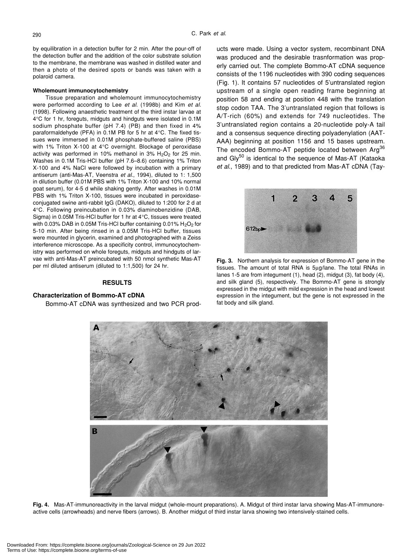by equilibration in a detection buffer for 2 min. After the pour-off of the detection buffer and the addition of the color substrate solution to the membrane, the membrane was washed in distilled water and then a photo of the desired spots or bands was taken with a polaroid camera.

# **Wholemount immunocytochemistry**

Tissue preparation and wholemount immunocytochemistry were performed according to Lee *et al*. (1998b) and Kim *et al*. (1998). Following anaesthetic treatment of the third instar larvae at 4°C for 1 hr, foreguts, midguts and hindguts were isolated in 0.1M sodium phosphate buffer (pH 7.4) (PB) and then fixed in 4% paraformaldehyde (PFA) in 0.1M PB for 5 hr at 4°C. The fixed tissues were immersed in 0.01M phosphate-buffered saline (PBS) with 1% Triton X-100 at 4°C overnight. Blockage of peroxidase activity was performed in 10% methanol in 3%  $H<sub>2</sub>O<sub>2</sub>$  for 25 min. Washes in 0.1M Tris-HCl buffer (pH 7.6–8.6) containing 1% Triton X-100 and 4% NaCl were followed by incubation with a primary antiserum (anti-Mas-AT, Veenstra *et al*., 1994), diluted to 1: 1,500 in dilution buffer (0.01M PBS with 1% Triton X-100 and 10% normal goat serum), for 4-5 d while shaking gently. After washes in 0.01M PBS with 1% Triton X-100, tissues were incubated in peroxidaseconjugated swine anti-rabbit IgG (DAKO), diluted to 1:200 for 2 d at 4°C. Following preincubation in 0.03% diaminobenzidine (DAB, Sigma) in 0.05M Tris-HCl buffer for 1 hr at 4°C, tissues were treated with 0.03% DAB in 0.05M Tris-HCl buffer containing 0.01%  $H_2O_2$  for 5-10 min. After being rinsed in a 0.05M Tris-HCl buffer, tissues were mounted in glycerin, examined and photographed with a Zeiss interference microscope. As a specificity control, immunocytochemistry was performed on whole foreguts, midguts and hindguts of larvae with anti-Mas-AT preincubated with 50 nmol synthetic Mas-AT per ml diluted antiserum (diluted to 1:1,500) for 24 hr.

# **RESULTS**

### **Characterization of Bommo-AT cDNA**

Bommo-AT cDNA was synthesized and two PCR prod-

ucts were made. Using a vector system, recombinant DNA was produced and the desirable trasnformation was properly carried out. The complete Bommo-AT cDNA sequence consists of the 1196 nucleotides with 390 coding sequences (Fig. 1). It contains 57 nucleotides of 5'untranslated region upstream of a single open reading frame beginning at position 58 and ending at position 448 with the translation stop codon TAA. The 3'untranslated region that follows is A/T-rich (60%) and extends for 749 nucleotides. The 3'untranslated region contains a 20-nucleotide poly-A tail and a consensus sequence directing polyadenylation (AAT-AAA) beginning at position 1156 and 15 bases upstream. The encoded Bommo-AT peptide located between Arg<sup>36</sup> and  $\text{Gly}^{50}$  is identical to the sequence of Mas-AT (Kataoka *et al*., 1989) and to that predicted from Mas-AT cDNA (Tay-



**Fig. 3.** Northern analysis for expression of Bommo-AT gene in the tissues. The amount of total RNA is 5µg/lane. The total RNAs in lanes 1-5 are from integument (1), head (2), midgut (3), fat body (4), and silk gland (5), respectively. The Bommo-AT gene is strongly expressed in the midgut with mild expression in the head and lowest expression in the integument, but the gene is not expressed in the fat body and silk gland.



**Fig. 4.** Mas-AT-immunoreactivity in the larval midgut (whole-mount preparations). A. Midgut of third instar larva showing Mas-AT-immunoreactive cells (arrowheads) and nerve fibers (arrows). B. Another midgut of third instar larva showing two intensively-stained cells.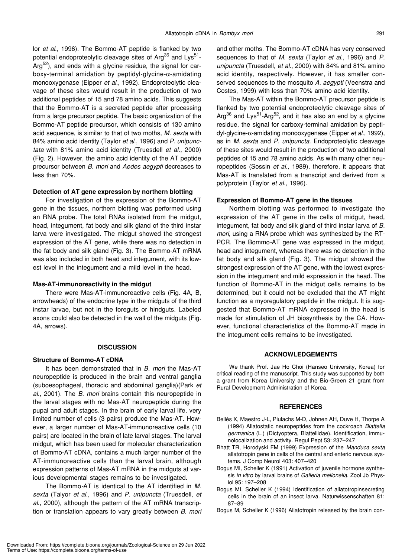lor *et al*., 1996). The Bommo-AT peptide is flanked by two potential endoproteolytic cleavage sites of Arg<sup>36</sup> and Lys<sup>51</sup>-Arg<sup>52</sup>), and ends with a glycine residue, the signal for carboxy-terminal amidation by peptidyl-glycine-α-amidating monooxygenase (Eipper *et al*., 1992). Endoproteolytic cleavage of these sites would result in the production of two additional peptides of 15 and 78 amino acids. This suggests that the Bommo-AT is a secreted peptide after processing from a large precursor peptide. The basic organization of the Bommo-AT peptide precursor, which consists of 130 amino acid sequence, is similar to that of two moths, *M. sexta* with 84% amino acid identity (Taylor *et al*., 1996) and *P. unipunctata* with 81% amino acid identity (Truesdell *et al*., 2000) (Fig. 2). However, the amino acid identity of the AT peptide precursor between *B. mori* and *Aedes aegypti* decreases to less than 70%.

# **Detection of AT gene expression by northern blotting**

For investigation of the expression of the Bommo-AT gene in the tissues, northern blotting was performed using an RNA probe. The total RNAs isolated from the midgut, head, integument, fat body and silk gland of the third instar larva were investigated. The midgut showed the strongest expression of the AT gene, while there was no detection in the fat body and silk gland (Fig. 3). The Bommo-AT mRNA was also included in both head and integument, with its lowest level in the integument and a mild level in the head.

#### **Mas-AT-immunoreactivity in the midgut**

There were Mas-AT-immunoreactive cells (Fig. 4A, B, arrowheads) of the endocrine type in the midguts of the third instar larvae, but not in the foreguts or hindguts. Labeled axons could also be detected in the wall of the midguts (Fig. 4A, arrows).

# **DISCUSSION**

#### **Structure of Bommo-AT cDNA**

It has been demonstrated that in *B. mori* the Mas-AT neuropeptide is produced in the brain and ventral ganglia (suboesophageal, thoracic and abdominal ganglia)(Park *et al*., 2001). The *B. mori* brains contain this neuropeptide in the larval stages with no Mas-AT neuropeptide during the pupal and adult stages. In the brain of early larval life, very limited number of cells (3 pairs) produce the Mas-AT. However, a larger number of Mas-AT-immunoreactive cells (10 pairs) are located in the brain of late larval stages. The larval midgut, which has been used for molecular characterization of Bommo-AT cDNA, contains a much larger number of the AT-immunoreactive cells than the larval brain, although expression patterns of Mas-AT mRNA in the midguts at various developmental stages remains to be investigated.

The Bommo*-*AT is identical to the AT identified in *M. sexta* (Talyor *et al*., 1996) and *P. unipuncta* (Truesdell, *et al*., 2000), although the pattern of the AT mRNA transcription or translation appears to vary greatly between *B. mori* and other moths. The Bommo-AT cDNA has very conserved sequences to that of *M. sexta* (Taylor *et al*., 1996) and *P. unipuncta* (Truesdell, *et al*., 2000) with 84% and 81% amino acid identity, respectively. However, it has smaller conserved sequences to the mosquito *A. aegypti* (Veenstra and Costes, 1999) with less than 70% amino acid identity.

The Mas-AT within the Bommo-AT precursor peptide is flanked by two potential endoproteolytic cleavage sites of Arg<sup>36</sup> and Lys<sup>51</sup>-Arg<sup>52</sup>, and it has also an end by a glycine residue, the signal for carboxy-terminal amidation by peptidyl-glycine-α-amidating monooxygenase (Eipper *et al*., 1992), as in *M. sexta* and *P. unipuncta*. Endoproteolytic cleavage of these sites would result in the production of two additional peptides of 15 and 78 amino acids. As with many other neuropeptides (Sossin *et al*., 1989), therefore, it appears that Mas-AT is translated from a transcript and derived from a polyprotein (Taylor *et al*., 1996).

#### **Expression of Bommo-AT gene in the tissues**

Northern blotting was performed to investigate the expression of the AT gene in the cells of midgut, head, integument, fat body and silk gland of third instar larva of *B. mori*, using a RNA probe which was synthesized by the RT-PCR. The Bommo*-*AT gene was expressed in the midgut, head and integument, whereas there was no detection in the fat body and silk gland (Fig. 3). The midgut showed the strongest expression of the AT gene, with the lowest expression in the integument and mild expression in the head. The function of Bommo-AT in the midgut cells remains to be determined, but it could not be excluded that the AT might function as a myoregulatory peptide in the midgut. It is suggested that Bommo-AT mRNA expressed in the head is made for stimulation of JH biosynthesis by the CA. However, functional characteristics of the Bommo-AT made in the integument cells remains to be investigated.

# **ACKNOWLEDGEMENTS**

We thank Prof. Jae Ho Choi (Hanseo University, Korea) for critical reading of the manuscript. This study was supported by both a grant from Korea University and the Bio-Green 21 grant from Rural Development Administration of Korea.

# **REFERENCES**

- Bellés X, Maestro J-L, Piulachs M-D, Johnen AH, Duve H, Thorpe A (1994) Allatostatic neuropeptides from the cockroach *Blattella germanica* (L.) (Dictyoptera, Blattellidae). Identification, immunolocalization and activity. Regul Pept 53: 237–247
- Bhatt TR, Horodyski FM (1999) Expression of the *Manduca sexta* allatotropin gene in cells of the central and enteric nervous systems. J Comp Neurol 403: 407–420
- Bogus MI, Scheller K (1991) Activation of juvenile hormone synthesis *in vitro* by larval brains of *Galleria mellonella*. Zool Jb Physiol 95: 197–208
- Bogus MI, Scheller K (1994) Identification of allatotropinsecreting cells in the brain of an insect larva. Naturwissenschaften 81: 87–89
- Bogus M, Scheller K (1996) Allatotropin released by the brain con-